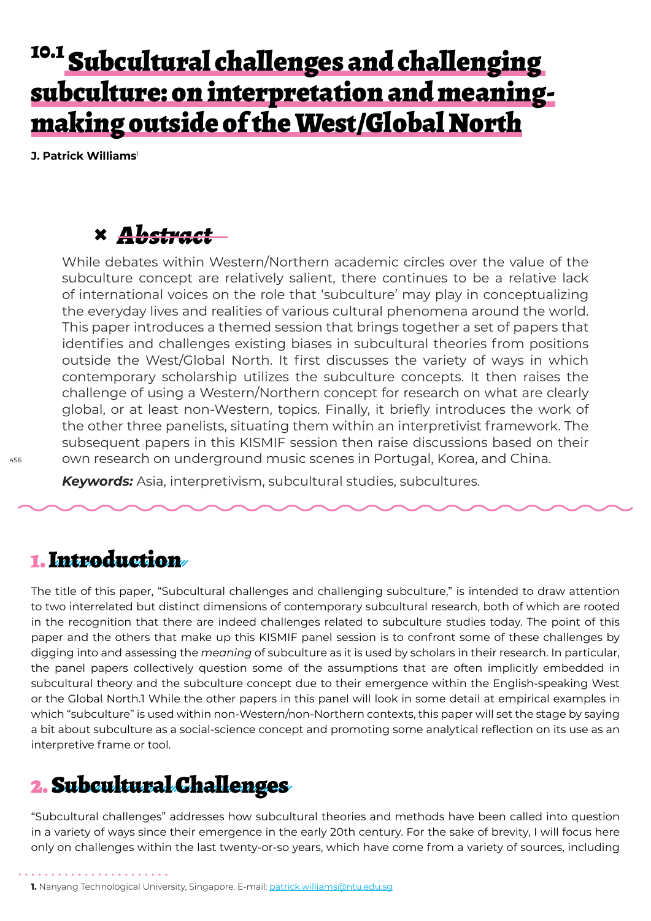# <sup>10.1</sup> Subcultural challenges and challenging subculture: on interpretation and meaningmaking outside of the West/Global North

**J. Patrick Williams**<sup>1</sup>

## **×** *Abstract*

While debates within Western/Northern academic circles over the value of the subculture concept are relatively salient, there continues to be a relative lack of international voices on the role that 'subculture' may play in conceptualizing the everyday lives and realities of various cultural phenomena around the world. This paper introduces a themed session that brings together a set of papers that identifies and challenges existing biases in subcultural theories from positions outside the West/Global North. It first discusses the variety of ways in which contemporary scholarship utilizes the subculture concepts. It then raises the challenge of using a Western/Northern concept for research on what are clearly global, or at least non-Western, topics. Finally, it briefly introduces the work of the other three panelists, situating them within an interpretivist framework. The subsequent papers in this KISMIF session then raise discussions based on their own research on underground music scenes in Portugal, Korea, and China.

*Keywords:* Asia, interpretivism, subcultural studies, subcultures.

### 1. Introduction

The title of this paper, "Subcultural challenges and challenging subculture," is intended to draw attention to two interrelated but distinct dimensions of contemporary subcultural research, both of which are rooted in the recognition that there are indeed challenges related to subculture studies today. The point of this paper and the others that make up this KISMIF panel session is to confront some of these challenges by digging into and assessing the *meaning* of subculture as it is used by scholars in their research. In particular, the panel papers collectively question some of the assumptions that are often implicitly embedded in subcultural theory and the subculture concept due to their emergence within the English-speaking West or the Global North.1 While the other papers in this panel will look in some detail at empirical examples in which "subculture" is used within non-Western/non-Northern contexts, this paper will set the stage by saying a bit about subculture as a social-science concept and promoting some analytical reflection on its use as an interpretive frame or tool.

### 2. Subcultural Challenges

"Subcultural challenges" addresses how subcultural theories and methods have been called into question in a variety of ways since their emergence in the early 20th century. For the sake of brevity, I will focus here only on challenges within the last twenty-or-so years, which have come from a variety of sources, including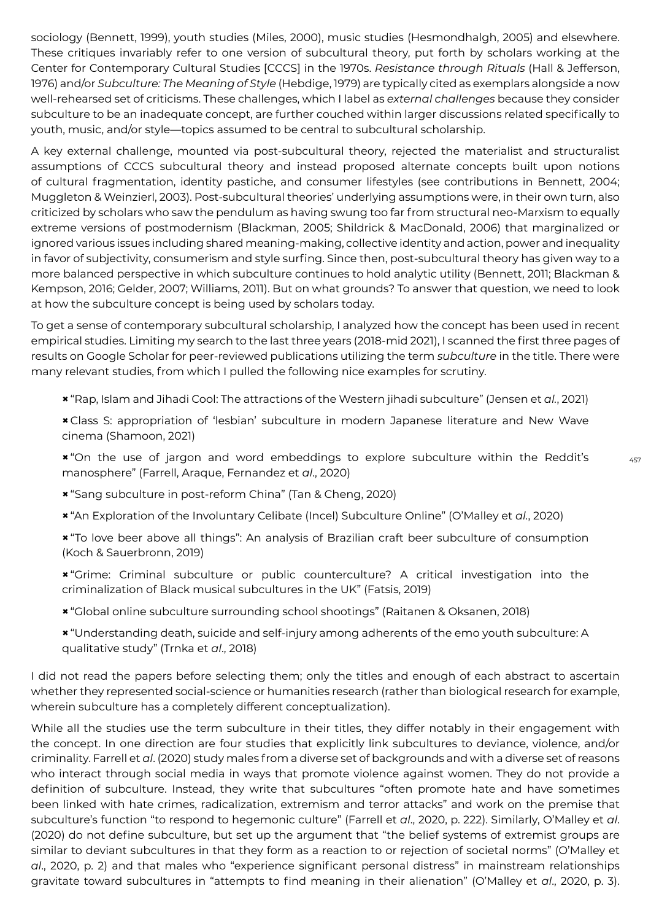sociology (Bennett, 1999), youth studies (Miles, 2000), music studies (Hesmondhalgh, 2005) and elsewhere. These critiques invariably refer to one version of subcultural theory, put forth by scholars working at the Center for Contemporary Cultural Studies [CCCS] in the 1970s. *Resistance through Rituals* (Hall & Jefferson, 1976) and/or *Subculture: The Meaning of Style* (Hebdige, 1979) are typically cited as exemplars alongside a now well-rehearsed set of criticisms. These challenges, which I label as *external challenges* because they consider subculture to be an inadequate concept, are further couched within larger discussions related specifically to youth, music, and/or style—topics assumed to be central to subcultural scholarship.

A key external challenge, mounted via post-subcultural theory, rejected the materialist and structuralist assumptions of CCCS subcultural theory and instead proposed alternate concepts built upon notions of cultural fragmentation, identity pastiche, and consumer lifestyles (see contributions in Bennett, 2004; Muggleton & Weinzierl, 2003). Post-subcultural theories' underlying assumptions were, in their own turn, also criticized by scholars who saw the pendulum as having swung too far from structural neo-Marxism to equally extreme versions of postmodernism (Blackman, 2005; Shildrick & MacDonald, 2006) that marginalized or ignored various issues including shared meaning-making, collective identity and action, power and inequality in favor of subjectivity, consumerism and style surfing. Since then, post-subcultural theory has given way to a more balanced perspective in which subculture continues to hold analytic utility (Bennett, 2011; Blackman & Kempson, 2016; Gelder, 2007; Williams, 2011). But on what grounds? To answer that question, we need to look at how the subculture concept is being used by scholars today.

To get a sense of contemporary subcultural scholarship, I analyzed how the concept has been used in recent empirical studies. Limiting my search to the last three years (2018-mid 2021), I scanned the first three pages of results on Google Scholar for peer-reviewed publications utilizing the term *subculture* in the title. There were many relevant studies, from which I pulled the following nice examples for scrutiny.

- **×** "Rap, Islam and Jihadi Cool: The attractions of the Western jihadi subculture" (Jensen et *al.*, 2021)
- **×** Class S: appropriation of 'lesbian' subculture in modern Japanese literature and New Wave cinema (Shamoon, 2021)

**×** "On the use of jargon and word embeddings to explore subculture within the Reddit's manosphere" (Farrell, Araque, Fernandez et *al*., 2020)

- **×** "Sang subculture in post-reform China" (Tan & Cheng, 2020)
- **×** "An Exploration of the Involuntary Celibate (Incel) Subculture Online" (O'Malley et *al.*, 2020)
- **×** "To love beer above all things": An analysis of Brazilian craft beer subculture of consumption (Koch & Sauerbronn, 2019)
- **×** "Grime: Criminal subculture or public counterculture? A critical investigation into the criminalization of Black musical subcultures in the UK" (Fatsis, 2019)
- **×** "Global online subculture surrounding school shootings" (Raitanen & Oksanen, 2018)
- **×** "Understanding death, suicide and self-injury among adherents of the emo youth subculture: A qualitative study" (Trnka et *al*., 2018)

I did not read the papers before selecting them; only the titles and enough of each abstract to ascertain whether they represented social-science or humanities research (rather than biological research for example, wherein subculture has a completely different conceptualization).

While all the studies use the term subculture in their titles, they differ notably in their engagement with the concept. In one direction are four studies that explicitly link subcultures to deviance, violence, and/or criminality. Farrell et *al*. (2020) study males from a diverse set of backgrounds and with a diverse set of reasons who interact through social media in ways that promote violence against women. They do not provide a definition of subculture. Instead, they write that subcultures "often promote hate and have sometimes been linked with hate crimes, radicalization, extremism and terror attacks" and work on the premise that subculture's function "to respond to hegemonic culture" (Farrell et *al*., 2020, p. 222). Similarly, O'Malley et *al*. (2020) do not define subculture, but set up the argument that "the belief systems of extremist groups are similar to deviant subcultures in that they form as a reaction to or rejection of societal norms" (O'Malley et *al*., 2020, p. 2) and that males who "experience significant personal distress" in mainstream relationships gravitate toward subcultures in "attempts to find meaning in their alienation" (O'Malley et *al*., 2020, p. 3).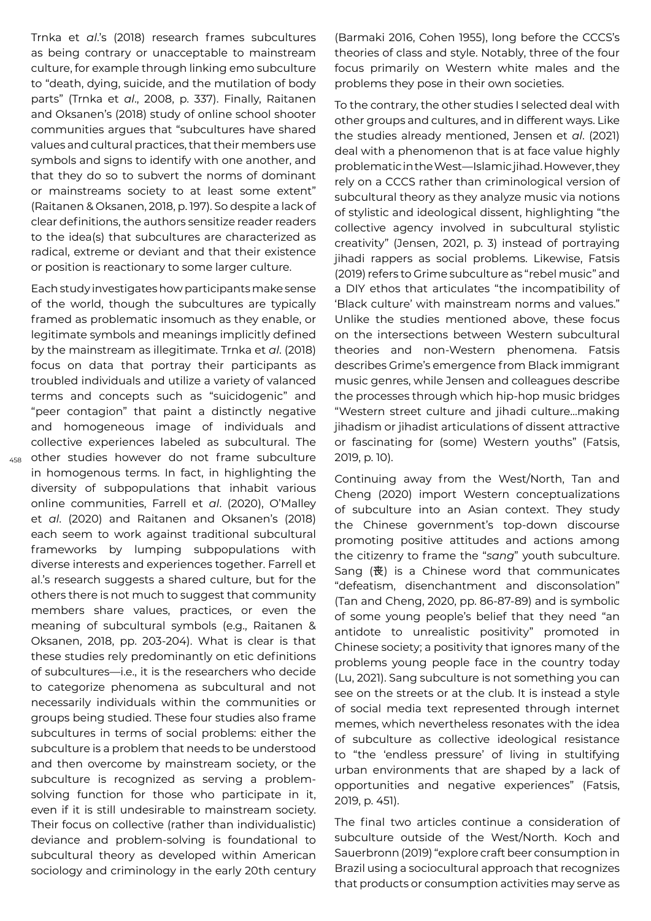Trnka et *al*.'s (2018) research frames subcultures as being contrary or unacceptable to mainstream culture, for example through linking emo subculture to "death, dying, suicide, and the mutilation of body parts" (Trnka et *al*., 2008, p. 337). Finally, Raitanen and Oksanen's (2018) study of online school shooter communities argues that "subcultures have shared values and cultural practices, that their members use symbols and signs to identify with one another, and that they do so to subvert the norms of dominant or mainstreams society to at least some extent" (Raitanen & Oksanen, 2018, p. 197). So despite a lack of clear definitions, the authors sensitize reader readers to the idea(s) that subcultures are characterized as radical, extreme or deviant and that their existence or position is reactionary to some larger culture.

458 other studies however do not frame subculture Each study investigates how participants make sense of the world, though the subcultures are typically framed as problematic insomuch as they enable, or legitimate symbols and meanings implicitly defined by the mainstream as illegitimate. Trnka et *al*. (2018) focus on data that portray their participants as troubled individuals and utilize a variety of valanced terms and concepts such as "suicidogenic" and "peer contagion" that paint a distinctly negative and homogeneous image of individuals and collective experiences labeled as subcultural. The in homogenous terms. In fact, in highlighting the diversity of subpopulations that inhabit various online communities, Farrell et *al*. (2020), O'Malley et *al*. (2020) and Raitanen and Oksanen's (2018) each seem to work against traditional subcultural frameworks by lumping subpopulations with diverse interests and experiences together. Farrell et al.'s research suggests a shared culture, but for the others there is not much to suggest that community members share values, practices, or even the meaning of subcultural symbols (e.g., Raitanen & Oksanen, 2018, pp. 203-204). What is clear is that these studies rely predominantly on etic definitions of subcultures—i.e., it is the researchers who decide to categorize phenomena as subcultural and not necessarily individuals within the communities or groups being studied. These four studies also frame subcultures in terms of social problems: either the subculture is a problem that needs to be understood and then overcome by mainstream society, or the subculture is recognized as serving a problemsolving function for those who participate in it, even if it is still undesirable to mainstream society. Their focus on collective (rather than individualistic) deviance and problem-solving is foundational to subcultural theory as developed within American sociology and criminology in the early 20th century

(Barmaki 2016, Cohen 1955), long before the CCCS's theories of class and style. Notably, three of the four focus primarily on Western white males and the problems they pose in their own societies.

To the contrary, the other studies I selected deal with other groups and cultures, and in different ways. Like the studies already mentioned, Jensen et *al*. (2021) deal with a phenomenon that is at face value highly problematic in the West—Islamic jihad. However, they rely on a CCCS rather than criminological version of subcultural theory as they analyze music via notions of stylistic and ideological dissent, highlighting "the collective agency involved in subcultural stylistic creativity" (Jensen, 2021, p. 3) instead of portraying jihadi rappers as social problems. Likewise, Fatsis (2019) refers to Grime subculture as "rebel music" and a DIY ethos that articulates "the incompatibility of 'Black culture' with mainstream norms and values." Unlike the studies mentioned above, these focus on the intersections between Western subcultural theories and non-Western phenomena. Fatsis describes Grime's emergence from Black immigrant music genres, while Jensen and colleagues describe the processes through which hip-hop music bridges "Western street culture and jihadi culture…making jihadism or jihadist articulations of dissent attractive or fascinating for (some) Western youths" (Fatsis, 2019, p. 10).

Continuing away from the West/North, Tan and Cheng (2020) import Western conceptualizations of subculture into an Asian context. They study the Chinese government's top-down discourse promoting positive attitudes and actions among the citizenry to frame the "*sang*" youth subculture. Sang (丧) is a Chinese word that communicates "defeatism, disenchantment and disconsolation" (Tan and Cheng, 2020, pp. 86-87-89) and is symbolic of some young people's belief that they need "an antidote to unrealistic positivity" promoted in Chinese society; a positivity that ignores many of the problems young people face in the country today (Lu, 2021). Sang subculture is not something you can see on the streets or at the club. It is instead a style of social media text represented through internet memes, which nevertheless resonates with the idea of subculture as collective ideological resistance to "the 'endless pressure' of living in stultifying urban environments that are shaped by a lack of opportunities and negative experiences" (Fatsis, 2019, p. 451).

The final two articles continue a consideration of subculture outside of the West/North. Koch and Sauerbronn (2019) "explore craft beer consumption in Brazil using a sociocultural approach that recognizes that products or consumption activities may serve as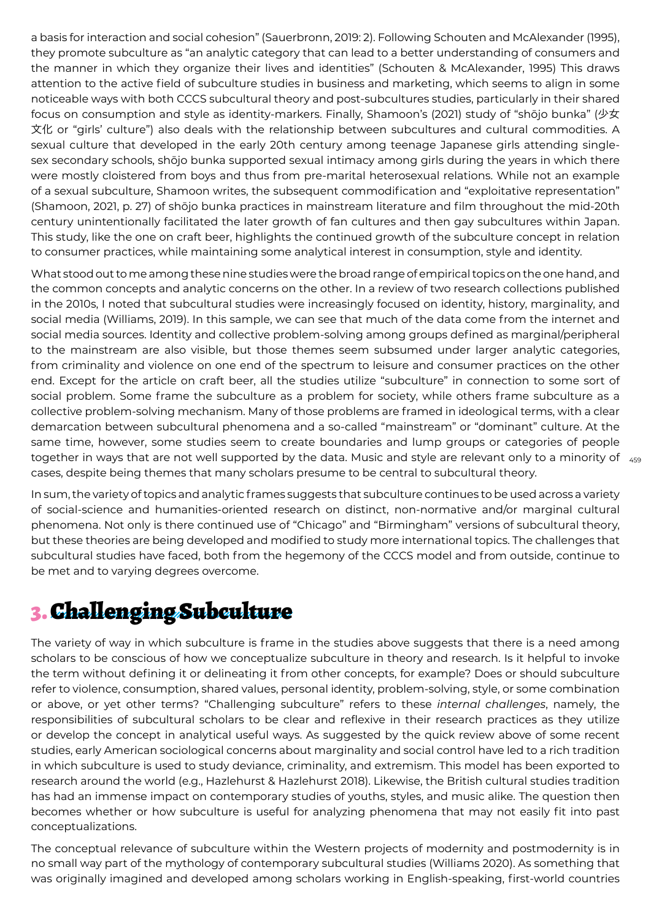a basis for interaction and social cohesion" (Sauerbronn, 2019: 2). Following Schouten and McAlexander (1995), they promote subculture as "an analytic category that can lead to a better understanding of consumers and the manner in which they organize their lives and identities" (Schouten & McAlexander, 1995) This draws attention to the active field of subculture studies in business and marketing, which seems to align in some noticeable ways with both CCCS subcultural theory and post-subcultures studies, particularly in their shared focus on consumption and style as identity-markers. Finally, Shamoon's (2021) study of "shōjo bunka" (少女 文化 or "girls' culture") also deals with the relationship between subcultures and cultural commodities. A sexual culture that developed in the early 20th century among teenage Japanese girls attending singlesex secondary schools, shōjo bunka supported sexual intimacy among girls during the years in which there were mostly cloistered from boys and thus from pre-marital heterosexual relations. While not an example of a sexual subculture, Shamoon writes, the subsequent commodification and "exploitative representation" (Shamoon, 2021, p. 27) of shōjo bunka practices in mainstream literature and film throughout the mid-20th century unintentionally facilitated the later growth of fan cultures and then gay subcultures within Japan. This study, like the one on craft beer, highlights the continued growth of the subculture concept in relation to consumer practices, while maintaining some analytical interest in consumption, style and identity.

together in ways that are not well supported by the data. Music and style are relevant only to a minority of  $\,$   $_{\rm 455}$ What stood out to me among these nine studies were the broad range of empirical topics on the one hand, and the common concepts and analytic concerns on the other. In a review of two research collections published in the 2010s, I noted that subcultural studies were increasingly focused on identity, history, marginality, and social media (Williams, 2019). In this sample, we can see that much of the data come from the internet and social media sources. Identity and collective problem-solving among groups defined as marginal/peripheral to the mainstream are also visible, but those themes seem subsumed under larger analytic categories, from criminality and violence on one end of the spectrum to leisure and consumer practices on the other end. Except for the article on craft beer, all the studies utilize "subculture" in connection to some sort of social problem. Some frame the subculture as a problem for society, while others frame subculture as a collective problem-solving mechanism. Many of those problems are framed in ideological terms, with a clear demarcation between subcultural phenomena and a so-called "mainstream" or "dominant" culture. At the same time, however, some studies seem to create boundaries and lump groups or categories of people cases, despite being themes that many scholars presume to be central to subcultural theory.

In sum, the variety of topics and analytic frames suggests that subculture continues to be used across a variety of social-science and humanities-oriented research on distinct, non-normative and/or marginal cultural phenomena. Not only is there continued use of "Chicago" and "Birmingham" versions of subcultural theory, but these theories are being developed and modified to study more international topics. The challenges that subcultural studies have faced, both from the hegemony of the CCCS model and from outside, continue to be met and to varying degrees overcome.

## 3. Challenging Subculture

The variety of way in which subculture is frame in the studies above suggests that there is a need among scholars to be conscious of how we conceptualize subculture in theory and research. Is it helpful to invoke the term without defining it or delineating it from other concepts, for example? Does or should subculture refer to violence, consumption, shared values, personal identity, problem-solving, style, or some combination or above, or yet other terms? "Challenging subculture" refers to these *internal challenges*, namely, the responsibilities of subcultural scholars to be clear and reflexive in their research practices as they utilize or develop the concept in analytical useful ways. As suggested by the quick review above of some recent studies, early American sociological concerns about marginality and social control have led to a rich tradition in which subculture is used to study deviance, criminality, and extremism. This model has been exported to research around the world (e.g., Hazlehurst & Hazlehurst 2018). Likewise, the British cultural studies tradition has had an immense impact on contemporary studies of youths, styles, and music alike. The question then becomes whether or how subculture is useful for analyzing phenomena that may not easily fit into past conceptualizations.

The conceptual relevance of subculture within the Western projects of modernity and postmodernity is in no small way part of the mythology of contemporary subcultural studies (Williams 2020). As something that was originally imagined and developed among scholars working in English-speaking, first-world countries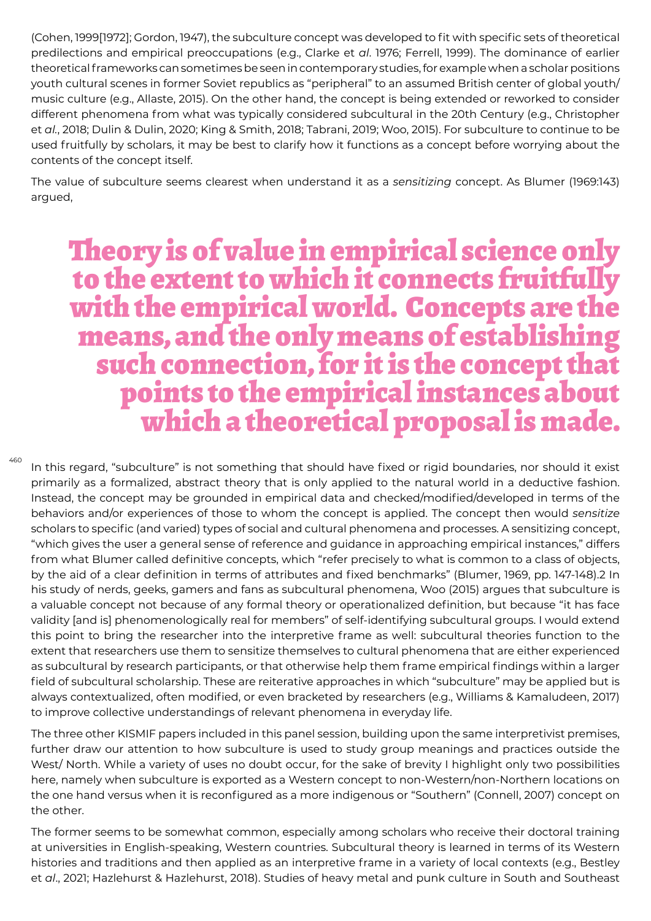(Cohen, 1999[1972]; Gordon, 1947), the subculture concept was developed to fit with specific sets of theoretical predilections and empirical preoccupations (e.g., Clarke et *al*. 1976; Ferrell, 1999). The dominance of earlier theoretical frameworks can sometimes be seen in contemporary studies, for example when a scholar positions youth cultural scenes in former Soviet republics as "peripheral" to an assumed British center of global youth/ music culture (e.g., Allaste, 2015). On the other hand, the concept is being extended or reworked to consider different phenomena from what was typically considered subcultural in the 20th Century (e.g., Christopher et *al.*, 2018; Dulin & Dulin, 2020; King & Smith, 2018; Tabrani, 2019; Woo, 2015). For subculture to continue to be used fruitfully by scholars, it may be best to clarify how it functions as a concept before worrying about the contents of the concept itself.

The value of subculture seems clearest when understand it as a *sensitizing* concept. As Blumer (1969:143) argued,

# Theory is of value in empirical science only to the extent to which it connects fruitfully with the empirical world. Concepts are the means, and the only means of establishing such connection, for it is the concept that points to the empirical instances about which a theoretical proposal is made.

In this regard, "subculture" is not something that should have fixed or rigid boundaries, nor should it exist primarily as a formalized, abstract theory that is only applied to the natural world in a deductive fashion. Instead, the concept may be grounded in empirical data and checked/modified/developed in terms of the behaviors and/or experiences of those to whom the concept is applied. The concept then would *sensitize* scholars to specific (and varied) types of social and cultural phenomena and processes. A sensitizing concept, "which gives the user a general sense of reference and guidance in approaching empirical instances," differs from what Blumer called definitive concepts, which "refer precisely to what is common to a class of objects, by the aid of a clear definition in terms of attributes and fixed benchmarks" (Blumer, 1969, pp. 147-148).2 In his study of nerds, geeks, gamers and fans as subcultural phenomena, Woo (2015) argues that subculture is a valuable concept not because of any formal theory or operationalized definition, but because "it has face validity [and is] phenomenologically real for members" of self-identifying subcultural groups. I would extend this point to bring the researcher into the interpretive frame as well: subcultural theories function to the extent that researchers use them to sensitize themselves to cultural phenomena that are either experienced as subcultural by research participants, or that otherwise help them frame empirical findings within a larger field of subcultural scholarship. These are reiterative approaches in which "subculture" may be applied but is always contextualized, often modified, or even bracketed by researchers (e.g., Williams & Kamaludeen, 2017) to improve collective understandings of relevant phenomena in everyday life.

460

The three other KISMIF papers included in this panel session, building upon the same interpretivist premises, further draw our attention to how subculture is used to study group meanings and practices outside the West/ North. While a variety of uses no doubt occur, for the sake of brevity I highlight only two possibilities here, namely when subculture is exported as a Western concept to non-Western/non-Northern locations on the one hand versus when it is reconfigured as a more indigenous or "Southern" (Connell, 2007) concept on the other.

The former seems to be somewhat common, especially among scholars who receive their doctoral training at universities in English-speaking, Western countries. Subcultural theory is learned in terms of its Western histories and traditions and then applied as an interpretive frame in a variety of local contexts (e.g., Bestley et *al*., 2021; Hazlehurst & Hazlehurst, 2018). Studies of heavy metal and punk culture in South and Southeast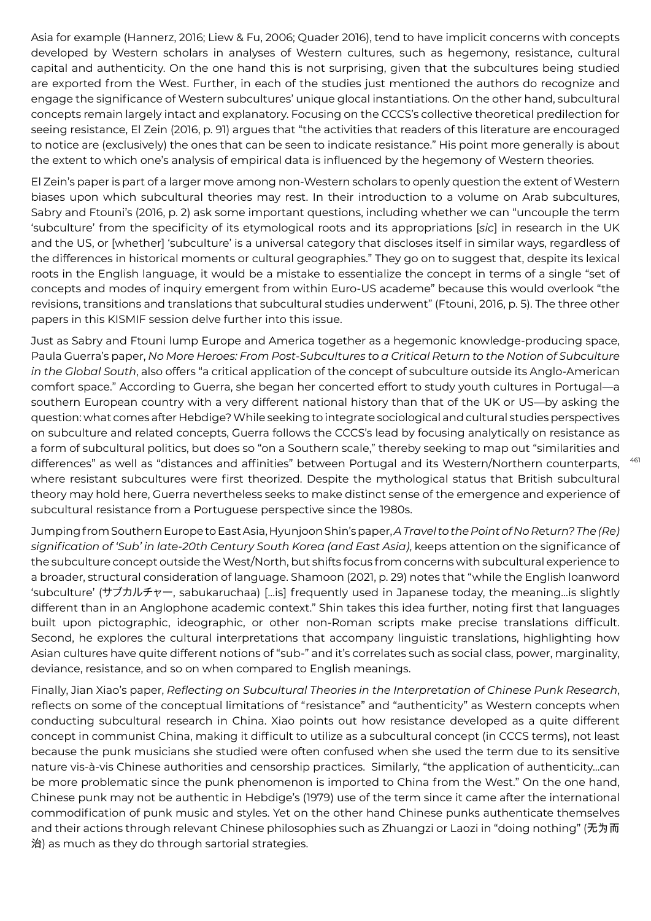Asia for example (Hannerz, 2016; Liew & Fu, 2006; Quader 2016), tend to have implicit concerns with concepts developed by Western scholars in analyses of Western cultures, such as hegemony, resistance, cultural capital and authenticity. On the one hand this is not surprising, given that the subcultures being studied are exported from the West. Further, in each of the studies just mentioned the authors do recognize and engage the significance of Western subcultures' unique glocal instantiations. On the other hand, subcultural concepts remain largely intact and explanatory. Focusing on the CCCS's collective theoretical predilection for seeing resistance, El Zein (2016, p. 91) argues that "the activities that readers of this literature are encouraged to notice are (exclusively) the ones that can be seen to indicate resistance." His point more generally is about the extent to which one's analysis of empirical data is influenced by the hegemony of Western theories.

El Zein's paper is part of a larger move among non-Western scholars to openly question the extent of Western biases upon which subcultural theories may rest. In their introduction to a volume on Arab subcultures, Sabry and Ftouni's (2016, p. 2) ask some important questions, including whether we can "uncouple the term 'subculture' from the specificity of its etymological roots and its appropriations [*sic*] in research in the UK and the US, or [whether] 'subculture' is a universal category that discloses itself in similar ways, regardless of the differences in historical moments or cultural geographies." They go on to suggest that, despite its lexical roots in the English language, it would be a mistake to essentialize the concept in terms of a single "set of concepts and modes of inquiry emergent from within Euro-US academe" because this would overlook "the revisions, transitions and translations that subcultural studies underwent" (Ftouni, 2016, p. 5). The three other papers in this KISMIF session delve further into this issue.

Just as Sabry and Ftouni lump Europe and America together as a hegemonic knowledge-producing space, Paula Guerra's paper, *No More Heroes: From Post-Subcultures to a Critical R*et*urn to the Notion of Subculture in the Global South*, also offers "a critical application of the concept of subculture outside its Anglo-American comfort space." According to Guerra, she began her concerted effort to study youth cultures in Portugal—a southern European country with a very different national history than that of the UK or US—by asking the question: what comes after Hebdige? While seeking to integrate sociological and cultural studies perspectives on subculture and related concepts, Guerra follows the CCCS's lead by focusing analytically on resistance as a form of subcultural politics, but does so "on a Southern scale," thereby seeking to map out "similarities and differences" as well as "distances and affinities" between Portugal and its Western/Northern counterparts, where resistant subcultures were first theorized. Despite the mythological status that British subcultural theory may hold here, Guerra nevertheless seeks to make distinct sense of the emergence and experience of subcultural resistance from a Portuguese perspective since the 1980s.

Jumping from Southern Europe to East Asia, Hyunjoon Shin's paper, *A Travel to the Point of No R*et*urn? The (Re) signification of 'Sub' in late-20th Century South Korea (and East Asia)*, keeps attention on the significance of the subculture concept outside the West/North, but shifts focus from concerns with subcultural experience to a broader, structural consideration of language. Shamoon (2021, p. 29) notes that "while the English loanword 'subculture' (サブカルチャー, sabukaruchaa) […is] frequently used in Japanese today, the meaning…is slightly different than in an Anglophone academic context." Shin takes this idea further, noting first that languages built upon pictographic, ideographic, or other non-Roman scripts make precise translations difficult. Second, he explores the cultural interpretations that accompany linguistic translations, highlighting how Asian cultures have quite different notions of "sub-" and it's correlates such as social class, power, marginality, deviance, resistance, and so on when compared to English meanings.

Finally, Jian Xiao's paper, *Reflecting on Subcultural Theories in the Interpr*et*ation of Chinese Punk Research*, reflects on some of the conceptual limitations of "resistance" and "authenticity" as Western concepts when conducting subcultural research in China. Xiao points out how resistance developed as a quite different concept in communist China, making it difficult to utilize as a subcultural concept (in CCCS terms), not least because the punk musicians she studied were often confused when she used the term due to its sensitive nature vis-à-vis Chinese authorities and censorship practices. Similarly, "the application of authenticity…can be more problematic since the punk phenomenon is imported to China from the West." On the one hand, Chinese punk may not be authentic in Hebdige's (1979) use of the term since it came after the international commodification of punk music and styles. Yet on the other hand Chinese punks authenticate themselves and their actions through relevant Chinese philosophies such as Zhuangzi or Laozi in "doing nothing" (无为而 治) as much as they do through sartorial strategies.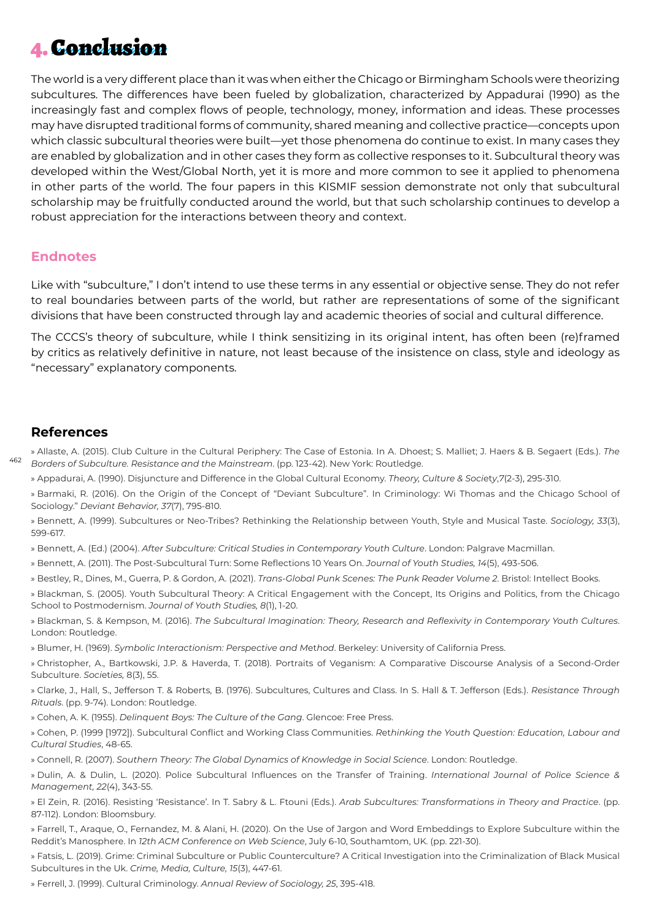## 4. Conclusion

The world is a very different place than it was when either the Chicago or Birmingham Schools were theorizing subcultures. The differences have been fueled by globalization, characterized by Appadurai (1990) as the increasingly fast and complex flows of people, technology, money, information and ideas. These processes may have disrupted traditional forms of community, shared meaning and collective practice—concepts upon which classic subcultural theories were built—yet those phenomena do continue to exist. In many cases they are enabled by globalization and in other cases they form as collective responses to it. Subcultural theory was developed within the West/Global North, yet it is more and more common to see it applied to phenomena in other parts of the world. The four papers in this KISMIF session demonstrate not only that subcultural scholarship may be fruitfully conducted around the world, but that such scholarship continues to develop a robust appreciation for the interactions between theory and context.

#### **Endnotes**

Like with "subculture," I don't intend to use these terms in any essential or objective sense. They do not refer to real boundaries between parts of the world, but rather are representations of some of the significant divisions that have been constructed through lay and academic theories of social and cultural difference.

The CCCS's theory of subculture, while I think sensitizing in its original intent, has often been (re)framed by critics as relatively definitive in nature, not least because of the insistence on class, style and ideology as "necessary" explanatory components.

#### **References**

462 » Allaste, A. (2015). Club Culture in the Cultural Periphery: The Case of Estonia. In A. Dhoest; S. Malliet; J. Haers & B. Segaert (Eds.). *The Borders of Subculture. Resistance and the Mainstream*. (pp. 123-42). New York: Routledge.

» Appadurai, A. (1990). Disjuncture and Difference in the Global Cultural Economy. *Theory, Culture & Soci*et*y*,*7*(2-3), 295-310.

» Barmaki, R. (2016). On the Origin of the Concept of "Deviant Subculture". In Criminology: Wi Thomas and the Chicago School of Sociology." *Deviant Behavior, 37*(7), 795-810.

» Bennett, A. (1999). Subcultures or Neo-Tribes? Rethinking the Relationship between Youth, Style and Musical Taste. *Sociology, 33*(3), 599-617.

» Bennett, A. (Ed.) (2004). *After Subculture: Critical Studies in Contemporary Youth Culture*. London: Palgrave Macmillan.

- » Bennett, A. (2011). The Post-Subcultural Turn: Some Reflections 10 Years On. *Journal of Youth Studies, 14*(5), 493-506.
- » Bestley, R., Dines, M., Guerra, P. & Gordon, A. (2021). *Trans-Global Punk Scenes: The Punk Reader Volume 2*. Bristol: Intellect Books.

» Blackman, S. (2005). Youth Subcultural Theory: A Critical Engagement with the Concept, Its Origins and Politics, from the Chicago School to Postmodernism. *Journal of Youth Studies, 8*(1), 1-20.

» Blackman, S. & Kempson, M. (2016). *The Subcultural Imagination: Theory, Research and Reflexivity in Contemporary Youth Cultures*. London: Routledge.

» Blumer, H. (1969). *Symbolic Interactionism: Perspective and M*et*hod*. Berkeley: University of California Press.

» Christopher, A., Bartkowski, J.P. & Haverda, T. (2018). Portraits of Veganism: A Comparative Discourse Analysis of a Second-Order Subculture. *Soci*et*ies,* 8(3), 55.

» Clarke, J., Hall, S., Jefferson T. & Roberts, B. (1976). Subcultures, Cultures and Class. In S. Hall & T. Jefferson (Eds.). *Resistance Through Rituals*. (pp. 9-74). London: Routledge.

» Cohen, A. K. (1955). *Delinquent Boys: The Culture of the Gang*. Glencoe: Free Press.

» Cohen, P. (1999 [1972]). Subcultural Conflict and Working Class Communities. *R*et*hinking the Youth Question: Education, Labour and Cultural Studies*, 48-65.

» Connell, R. (2007). *Southern Theory: The Global Dynamics of Knowledge in Social Science*. London: Routledge.

» Dulin, A. & Dulin, L. (2020). Police Subcultural Influences on the Transfer of Training. *International Journal of Police Science & Management, 22*(4), 343-55.

» El Zein, R. (2016). Resisting 'Resistance'. In T. Sabry & L. Ftouni (Eds.). *Arab Subcultures: Transformations in Theory and Practice*. (pp. 87-112). London: Bloomsbury.

» Farrell, T., Araque, O., Fernandez, M. & Alani, H. (2020). On the Use of Jargon and Word Embeddings to Explore Subculture within the Reddit's Manosphere. In *12th ACM Conference on Web Science*, July 6-10, Southamtom, UK. (pp. 221-30).

» Fatsis, L. (2019). Grime: Criminal Subculture or Public Counterculture? A Critical Investigation into the Criminalization of Black Musical Subcultures in the Uk. *Crime, Media, Culture, 15*(3), 447-61.

» Ferrell, J. (1999). Cultural Criminology. *Annual Review of Sociology, 25*, 395-418.